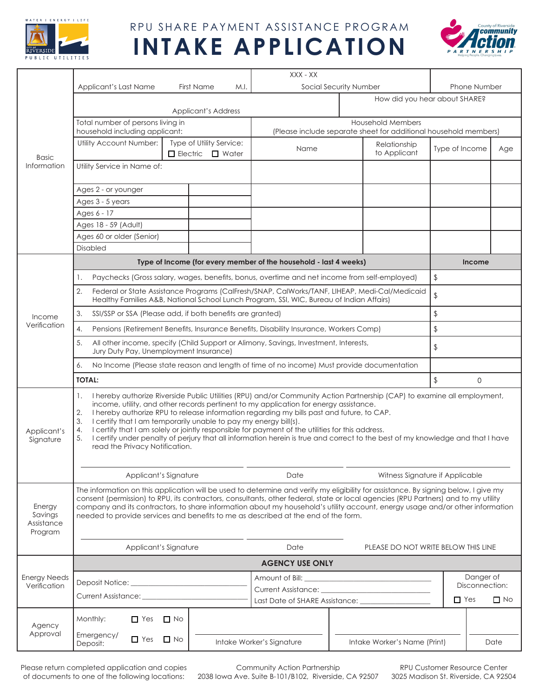

#### RPU SHARE PAYMENT ASSISTANCE PROGRAM

# **INTAKE APPLICATION**



| <b>Basic</b><br>Information                |                                                                                                                                                                                                                                                                                                                                                                                                                                                                                                                                                                                                                                                                                          |                                                           | XXX - XX                                                                                     |                                            |                                     |                     |  |
|--------------------------------------------|------------------------------------------------------------------------------------------------------------------------------------------------------------------------------------------------------------------------------------------------------------------------------------------------------------------------------------------------------------------------------------------------------------------------------------------------------------------------------------------------------------------------------------------------------------------------------------------------------------------------------------------------------------------------------------------|-----------------------------------------------------------|----------------------------------------------------------------------------------------------|--------------------------------------------|-------------------------------------|---------------------|--|
|                                            | Applicant's Last Name                                                                                                                                                                                                                                                                                                                                                                                                                                                                                                                                                                                                                                                                    | <b>First Name</b><br>M.I.                                 |                                                                                              | Social Security Number                     |                                     | <b>Phone Number</b> |  |
|                                            | <b>Applicant's Address</b>                                                                                                                                                                                                                                                                                                                                                                                                                                                                                                                                                                                                                                                               |                                                           |                                                                                              |                                            | How did you hear about SHARE?       |                     |  |
|                                            | Total number of persons living in<br>household including applicant:                                                                                                                                                                                                                                                                                                                                                                                                                                                                                                                                                                                                                      |                                                           | <b>Household Members</b><br>(Please include separate sheet for additional household members) |                                            |                                     |                     |  |
|                                            | Utility Account Number:                                                                                                                                                                                                                                                                                                                                                                                                                                                                                                                                                                                                                                                                  | Type of Utility Service:<br>$\Box$ Electric $\Box$ Water  | Name                                                                                         | Relationship<br>to Applicant               | Type of Income                      | Age                 |  |
|                                            | Utility Service in Name of:                                                                                                                                                                                                                                                                                                                                                                                                                                                                                                                                                                                                                                                              |                                                           |                                                                                              |                                            |                                     |                     |  |
|                                            | Ages 2 - or younger                                                                                                                                                                                                                                                                                                                                                                                                                                                                                                                                                                                                                                                                      |                                                           |                                                                                              |                                            |                                     |                     |  |
|                                            | Ages 3 - 5 years                                                                                                                                                                                                                                                                                                                                                                                                                                                                                                                                                                                                                                                                         |                                                           |                                                                                              |                                            |                                     |                     |  |
|                                            | Ages 6 - 17                                                                                                                                                                                                                                                                                                                                                                                                                                                                                                                                                                                                                                                                              |                                                           |                                                                                              |                                            |                                     |                     |  |
|                                            | Ages 18 - 59 (Adult)                                                                                                                                                                                                                                                                                                                                                                                                                                                                                                                                                                                                                                                                     |                                                           |                                                                                              |                                            |                                     |                     |  |
|                                            | Ages 60 or older (Senior)                                                                                                                                                                                                                                                                                                                                                                                                                                                                                                                                                                                                                                                                |                                                           |                                                                                              |                                            |                                     |                     |  |
|                                            | <b>Disabled</b>                                                                                                                                                                                                                                                                                                                                                                                                                                                                                                                                                                                                                                                                          |                                                           |                                                                                              |                                            |                                     |                     |  |
| Income<br>Verification                     |                                                                                                                                                                                                                                                                                                                                                                                                                                                                                                                                                                                                                                                                                          |                                                           | Type of Income (for every member of the household - last 4 weeks)                            |                                            | Income                              |                     |  |
|                                            | Paychecks (Gross salary, wages, benefits, bonus, overtime and net income from self-employed)                                                                                                                                                                                                                                                                                                                                                                                                                                                                                                                                                                                             |                                                           |                                                                                              |                                            |                                     | $\frac{1}{2}$       |  |
|                                            | 2.<br>Federal or State Assistance Programs (CalFresh/SNAP, CalWorks/TANF, LIHEAP, Medi-Cal/Medicaid<br>Healthy Families A&B, National School Lunch Program, SSI, WIC, Bureau of Indian Affairs)                                                                                                                                                                                                                                                                                                                                                                                                                                                                                          |                                                           |                                                                                              |                                            |                                     |                     |  |
|                                            | 3.                                                                                                                                                                                                                                                                                                                                                                                                                                                                                                                                                                                                                                                                                       | SSI/SSP or SSA (Please add, if both benefits are granted) |                                                                                              |                                            |                                     | $\frac{1}{2}$       |  |
|                                            | Pensions (Retirement Benefits, Insurance Benefits, Disability Insurance, Workers Comp)<br>4.                                                                                                                                                                                                                                                                                                                                                                                                                                                                                                                                                                                             |                                                           |                                                                                              | $\frac{1}{2}$                              |                                     |                     |  |
|                                            | All other income, specify (Child Support or Alimony, Savings, Investment, Interests,<br>5.<br>Jury Duty Pay, Unemployment Insurance)                                                                                                                                                                                                                                                                                                                                                                                                                                                                                                                                                     |                                                           |                                                                                              |                                            | $\frac{1}{2}$                       |                     |  |
|                                            | No Income (Please state reason and length of time of no income) Must provide documentation<br>6.                                                                                                                                                                                                                                                                                                                                                                                                                                                                                                                                                                                         |                                                           |                                                                                              |                                            |                                     |                     |  |
|                                            | <b>TOTAL:</b>                                                                                                                                                                                                                                                                                                                                                                                                                                                                                                                                                                                                                                                                            |                                                           |                                                                                              |                                            | $\sqrt{2}$<br>$\mathbf{O}$          |                     |  |
| Applicant's<br>Signature                   | I hereby authorize Riverside Public Utilities (RPU) and/or Community Action Partnership (CAP) to examine all employment,<br>1.<br>income, utility, and other records pertinent to my application for energy assistance.<br>2.<br>I hereby authorize RPU to release information regarding my bills past and future, to CAP.<br>3.<br>I certify that I am temporarily unable to pay my energy bill(s).<br>I certify that I am solely or jointly responsible for payment of the utilities for this address.<br>4.<br>I certify under penalty of perjury that all information herein is true and correct to the best of my knowledge and that I have<br>5.<br>read the Privacy Notification. |                                                           |                                                                                              |                                            |                                     |                     |  |
|                                            | Applicant's Signature                                                                                                                                                                                                                                                                                                                                                                                                                                                                                                                                                                                                                                                                    |                                                           | Date                                                                                         |                                            | Witness Signature if Applicable     |                     |  |
| Energy<br>Savings<br>Assistance<br>Program | The information on this application will be used to determine and verify my eligibility for assistance. By signing below, I give my<br>consent (permission) to RPU, its contractors, consultants, other federal, state or local agencies (RPU Partners) and to my utility<br>company and its contractors, to share information about my household's utility account, energy usage and/or other information<br>needed to provide services and benefits to me as described at the end of the form.                                                                                                                                                                                         |                                                           |                                                                                              |                                            |                                     |                     |  |
|                                            |                                                                                                                                                                                                                                                                                                                                                                                                                                                                                                                                                                                                                                                                                          | Applicant's Signature                                     | Date                                                                                         |                                            | PLEASE DO NOT WRITE BELOW THIS LINE |                     |  |
| <b>Energy Needs</b><br>Verification        | <b>AGENCY USE ONLY</b>                                                                                                                                                                                                                                                                                                                                                                                                                                                                                                                                                                                                                                                                   |                                                           |                                                                                              |                                            |                                     |                     |  |
|                                            |                                                                                                                                                                                                                                                                                                                                                                                                                                                                                                                                                                                                                                                                                          |                                                           |                                                                                              |                                            |                                     | Danger of           |  |
|                                            |                                                                                                                                                                                                                                                                                                                                                                                                                                                                                                                                                                                                                                                                                          |                                                           |                                                                                              |                                            |                                     | Disconnection:      |  |
|                                            | Current Assistance: <u>Current Assistance</u>                                                                                                                                                                                                                                                                                                                                                                                                                                                                                                                                                                                                                                            |                                                           |                                                                                              | Last Date of SHARE Assistance: ___________ |                                     |                     |  |
| Agency<br>Approval                         | Monthly:<br>$\Box$ Yes<br>$\Box$ No                                                                                                                                                                                                                                                                                                                                                                                                                                                                                                                                                                                                                                                      |                                                           |                                                                                              |                                            |                                     |                     |  |
|                                            | Emergency/<br>$\Box$ Yes<br>Deposit:                                                                                                                                                                                                                                                                                                                                                                                                                                                                                                                                                                                                                                                     | $\Box$ No                                                 | Intake Worker's Signature                                                                    | Intake Worker's Name (Print)               |                                     | Date                |  |